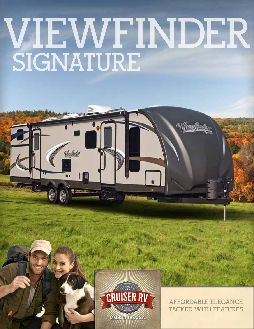# **VIEWFINDER SIGNATURE**



**AFFORDABLE ELEGANCE PACKED WITH FEATURES**

Wessflader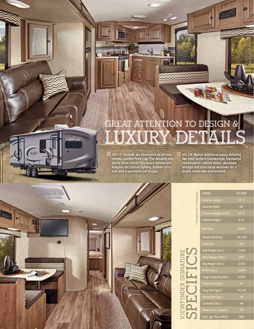## **GREAT ATTENTION TO DESIGN & LUXURY DETAILS**

 $\blacktriangledown$ 

ABOVE: Outside we developed an all-new metallic painted front cap. The detailing only starts there. Inside this luxury lightweight features decorative lighting, leather furniture and a barrelled roof design. hh

而进

BELOW: Notice additional luxury detailing like solid surface countertops, hardwood raised-panel cabinet doors, abundant storage and extra large windows for a bright, home-like environment.



a

<u>les othaci</u>o

|                               | <b>MODEL</b>                  | <b>VS-19FK</b> |  |  |  |
|-------------------------------|-------------------------------|----------------|--|--|--|
|                               | <b>Exterior Length</b>        | 22'-2"         |  |  |  |
|                               | <b>Exterior Width</b>         | 96"            |  |  |  |
|                               | <b>Exterior Height (w/AC)</b> | $10' - 6"$     |  |  |  |
| All weights are "non-equipped | <b>Interior Height</b>        | $6' - 9"$      |  |  |  |
|                               | <b>Bed Size</b>               | 60x74          |  |  |  |
|                               | <b>Dinette Bed Size</b>       | 42 x 68        |  |  |  |
|                               | <b>Sofa Size</b>              | N/A            |  |  |  |
|                               | Axle Weight (Ibs.)            | 2,545          |  |  |  |
|                               | Hitch Weight (Ibs.)           | 870            |  |  |  |
|                               | Dry Weight (lbs.)             | 3,415          |  |  |  |
|                               | <b>GVWR</b> [lbs.]            | 7,870          |  |  |  |
|                               | Cargo Capacity (lbs.)         | 4,455          |  |  |  |
|                               | Fresh Tank (gal.)             | 44             |  |  |  |
|                               | Gray Tank (gal.)              | (2)38          |  |  |  |
|                               | Black Tank (gal.)             | 38             |  |  |  |
|                               | LP Bottle (Ibs.)              | 40             |  |  |  |
|                               | <b>Power Conv. (amps)</b>     | 55             |  |  |  |
|                               | Elec. Ign. Furn (BTU)         | <b>20K</b>     |  |  |  |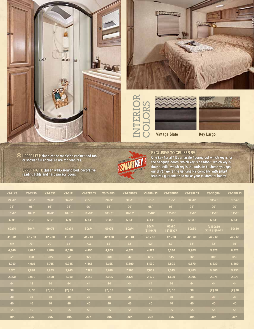









## EXCLUSIVE TO CRUISER RV

| <b>Vintage Slate</b><br><b>Key Largo</b><br>m<br><b>EXCLUSIVE TO CRUISER RV</b><br><b>UPPER LEFT: Hand-made medicine cabinet and tub</b><br>One key fits all? It's a hassle figuring out which key is for<br>or shower full enclosure are top features.<br>the baggage doors, which key is deadbolt, which key is<br>door handle, which key is the outside kitchen--you get<br><b>UPPER RIGHT: Queen walk-around bed, decorative</b><br>our drift? We're the genuine RV company with smart<br>reading lights and hard privacy doors.<br>features guaranteed to make your customers happy! |                |                |                |             |             |             |                   |                   |             |                           |             |
|-------------------------------------------------------------------------------------------------------------------------------------------------------------------------------------------------------------------------------------------------------------------------------------------------------------------------------------------------------------------------------------------------------------------------------------------------------------------------------------------------------------------------------------------------------------------------------------------|----------------|----------------|----------------|-------------|-------------|-------------|-------------------|-------------------|-------------|---------------------------|-------------|
| <b>VS-21KS</b>                                                                                                                                                                                                                                                                                                                                                                                                                                                                                                                                                                            | <b>VS-24SD</b> | <b>VS-26SB</b> | <b>VS-31RL</b> | VS-22RBDS   | VS-24RKSL   | VS-27RBSS   | VS-28BHSS         | VS-28BHOB         | VS-29RLDS   | <b>VS-300BIK</b>          | VS-32RLSS   |
| $24' - 8"$                                                                                                                                                                                                                                                                                                                                                                                                                                                                                                                                                                                | $26' - 5"$     | 29'-0"         | $34' - 3''$    | $26' - 6"$  | $28' - 3"$  | $30' - 1$   | $31' - 9"$        | $31' - 5"$        | $34' - 0''$ | $34' - 2"$                | $35' - 4"$  |
| 96"                                                                                                                                                                                                                                                                                                                                                                                                                                                                                                                                                                                       | 96"            | 96"            | 96"            | 96"         | 96"         | 96"         | 96"               | 96"               | 96"         | 96"                       | 96"         |
| $10' - 6"$                                                                                                                                                                                                                                                                                                                                                                                                                                                                                                                                                                                | $10' - 6"$     | $10' - 8"$     | $10' - 10"$    | $10' - 10"$ | $10' - 10"$ | $10' - 10'$ | $10' - 10"$       | $10' - 10"$       | 11'.0"      | $11' - 0''$               | $11' - 0''$ |
| $6' - 9''$                                                                                                                                                                                                                                                                                                                                                                                                                                                                                                                                                                                | $6' - 9''$     | $6' - 9''$     | $6' - 9''$     | $6' - 11"$  | $6' - 11'$  | $6' - 11"$  | $6' - 11"$        | $6' - 11"$        | $6' - 11"$  | $6' - 11'$                | $6' - 11'$  |
| 60x74                                                                                                                                                                                                                                                                                                                                                                                                                                                                                                                                                                                     | 60x74          | 60x74          | 60x74          | 60x74       | 60x74       | 60x74       | 60x74<br>(2)49x76 | 60x80<br>(2)55x77 | 60x80       | (1)60x80<br>(1)28(2)36x72 | 60x80       |
| 41 x 81                                                                                                                                                                                                                                                                                                                                                                                                                                                                                                                                                                                   | 42 x 68        | 42 x 68        | 41 x 81        | 41 x 81     | 42 X 68     | 41 x 81     | 48 x 68           | 42 x 68           | 42 x 68     | 42 x 68                   | 42 x 68     |
| N/A                                                                                                                                                                                                                                                                                                                                                                                                                                                                                                                                                                                       | 70"            | 70"            | 62"            | N/A         | 62"         | 62"         | 62"               | 62"               | 62"         | 62"                       | 80"         |
| 4,340                                                                                                                                                                                                                                                                                                                                                                                                                                                                                                                                                                                     | 4,020          | 4,810          | 6,090          | 4,490       | 4,905       | 4,825       | 4,875             | 5,350             | 5,905       | 5,825                     | 6,225       |
| 570                                                                                                                                                                                                                                                                                                                                                                                                                                                                                                                                                                                       | 890            | 905            | 845            | 375         | 260         | 565         | 655               | 545               | 665         | 805                       | 655         |
| 4,910                                                                                                                                                                                                                                                                                                                                                                                                                                                                                                                                                                                     | 4,910          | 5,715          | 6,935          | 4,865       | 5,165       | 5,390       | 5,530             | 5,895             | 6,570       | 6,630                     | 6,880       |
| 7,570                                                                                                                                                                                                                                                                                                                                                                                                                                                                                                                                                                                     | 7,890          | 7,905          | 9,245          | 7,375       | 7,260       | 7,565       | 7,655             | 7,545             | 9,465       | 9,605                     | 9,455       |
| 2,660                                                                                                                                                                                                                                                                                                                                                                                                                                                                                                                                                                                     | 2,980          | 2,190          | 2,310          | 2,510       | 2,095       | 2,125       | 2,125             | 1,650             | 2,895       | 2,975                     | 2,575       |
| 44                                                                                                                                                                                                                                                                                                                                                                                                                                                                                                                                                                                        | 44             | 44             | 44             | 44          | 44          | 44          | 44                | 44                | 44          | 44                        | 44          |
| 38                                                                                                                                                                                                                                                                                                                                                                                                                                                                                                                                                                                        | (2)38          | (2)38          | (2)38          | 38          | (2)38       | 38          | 38                | (2)38             | 38          | (2)38                     | (2)38       |
| 38                                                                                                                                                                                                                                                                                                                                                                                                                                                                                                                                                                                        | 38             | 38             | 38             | 38          | 38          | 38          | 38                | 38                | 38          | 38                        | 38          |
| 40                                                                                                                                                                                                                                                                                                                                                                                                                                                                                                                                                                                        | 40             | 40             | 40             | 40          | 40          | 40          | 40                | 40                | 40          | 40                        | 40          |
| 55                                                                                                                                                                                                                                                                                                                                                                                                                                                                                                                                                                                        | 55             | 55             | 55             | 55          | 55          | 55          | 55                | 55                | 55          | 55                        | 55          |
| <b>20K</b>                                                                                                                                                                                                                                                                                                                                                                                                                                                                                                                                                                                | <b>20K</b>     | <b>20K</b>     | 30K            | <b>20K</b>  | <b>20K</b>  | <b>20K</b>  | <b>30K</b>        | 30K               | <b>30K</b>  | <b>30K</b>                | 30K         |